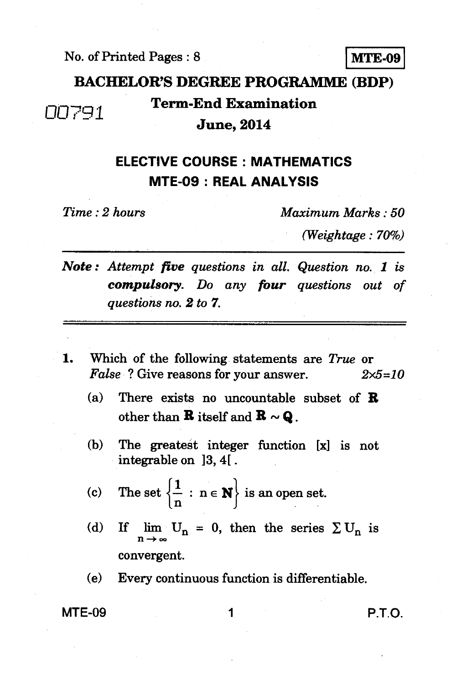$\text{No. of Printed Pages : 8}$  MTE-09

# **BACHELOR'S DEGREE PROGRAMME (BDP) 100791 Term-End Examination**<br>**June, 2014**

#### **ELECTIVE COURSE : MATHEMATICS MTE-09 : REAL ANALYSIS**

*Time : 2 hours Maximum Marks : 50* 

*(Weightage : 70%)* 

*Note : Attempt five questions in all. Question no. 1 is compulsory. Do any four questions out of questions no. 2 to 7.* 

- 1. Which of the following statements are *True* or *False ?* Give reasons for your answer. *2x5=10* 
	- (a) There exists no uncountable subset of **B**  other than **R** itself and  $\mathbf{R} \sim \mathbf{Q}$ .
	- (b) The greatest integer function [x] is not integrable on 13, 4[ .
	- (c) The set  $\left\{\frac{1}{n} : n \in \mathbb{N}\right\}$  is an open set.
	- (d) If  $\lim_{n \to \infty} U_n = 0$ , then the series  $\Sigma U_n$  is convergent.
	- (e) Every continuous function is differentiable.

MTE-09 1 P.T.O.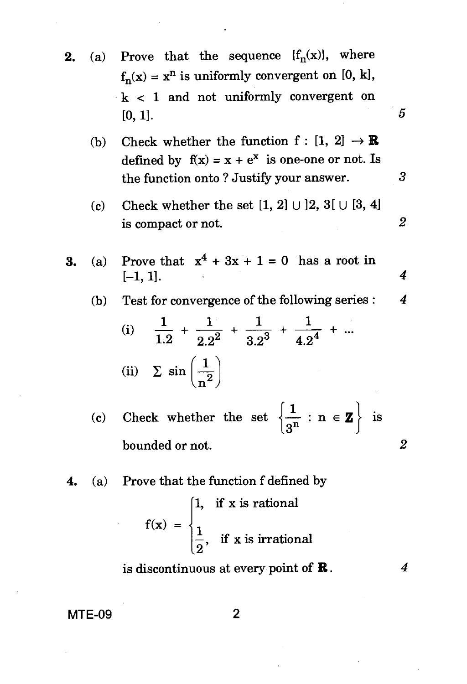- **2.** (a) Prove that the sequence  $\{f_n(x)\}\$ , where  $f_n(x) = x^n$  is uniformly convergent on [0, k], k < 1 and not uniformly convergent on [0, 1].
	- (b) Check whether the function  $f : [1, 2] \rightarrow \mathbb{R}$ defined by  $f(x) = x + e^x$  is one-one or not. Is the function onto ? Justify your answer.
	- (c) Check whether the set  $[1, 2] \cup [2, 3] \cup [3, 4]$ is compact or not. *2*
- **3.** (a) Prove that  $x^4 + 3x + 1 = 0$  has a root in [-1, 1]. *4* 
	- (b) Test for convergence of the following series : 4

(i) 
$$
\frac{1}{1.2} + \frac{1}{2.2^2} + \frac{1}{3.2^3} + \frac{1}{4.2^4} + \cdots
$$
  
(ii)  $\sum \sin \left(\frac{1}{n^2}\right)$ 

(c) Check whether the set  $\left\{\frac{1}{3^n} : n \in \mathbf{Z}\right\}$  is bounded or not. *2* 

**4.** (a) Prove that the function f defined by

$$
f(x) = \begin{cases} 1, & \text{if } x \text{ is rational} \\ \frac{1}{2}, & \text{if } x \text{ is irrational} \end{cases}
$$

is discontinuous at every point of  $\mathbf R$ .

 $\boldsymbol{4}$ 

5

3

**MTE-09** 2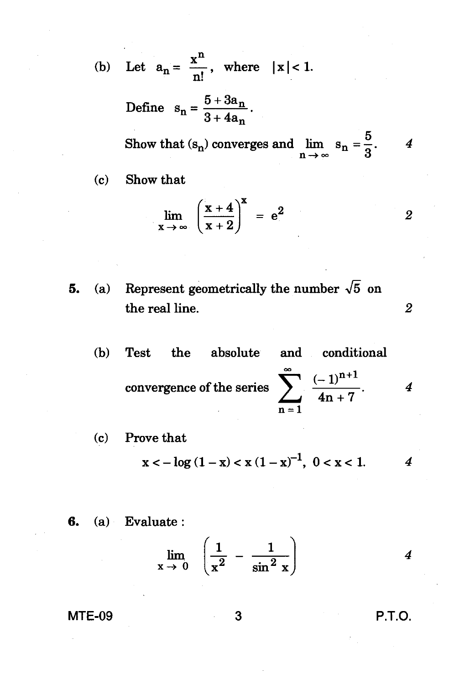(b) Let  $a_n = \frac{x^n}{n!}$ , where  $|x| < 1$ .

Define 
$$
s_n = \frac{5 + 3a_n}{3 + 4a_n}
$$

Show that  $(s_n)$  converges and  $\lim_{n \to \infty} s_n = \frac{5}{3}$ .  $\overline{4}$ 

Show that  $(c)$ 

$$
\lim_{x \to \infty} \left( \frac{x+4}{x+2} \right)^x = e^2
$$
 2

- Represent geometrically the number  $\sqrt{5}$  on  $(a)$ 5. the real line.
	- and conditional  $(b)$ the absolute **Test** convergence of the series  $\sum_{1}^{\infty} \frac{(-1)^{n+1}}{4n+7}$ .  $\boldsymbol{4}$
	- Prove that  $(c)$  $x < -\log(1-x) < x(1-x)^{-1}$ ,  $0 < x < 1$ .  $\boldsymbol{4}$
- $(a)$  Evaluate: 6.

$$
\lim_{x \to 0} \left( \frac{1}{x^2} - \frac{1}{\sin^2 x} \right)
$$
 4

P.T.O.

 $\overline{2}$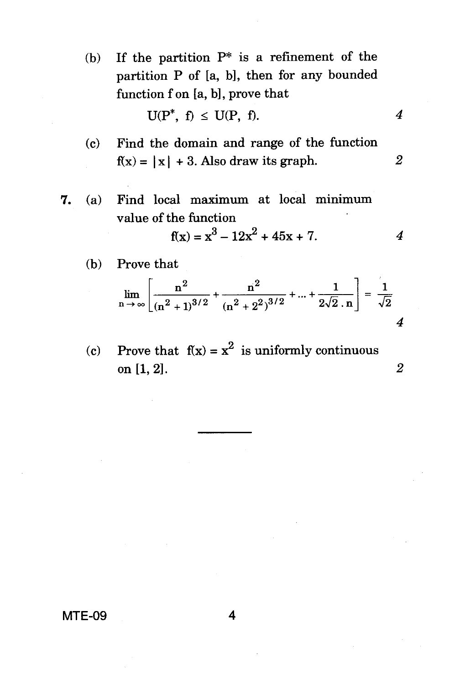(b) If the partition  $P^*$  is a refinement of the partition P of [a, b], then for any bounded function f on [a, b], prove that

$$
U(P^*, f) \leq U(P, f). \qquad \qquad 4
$$

- (c) Find the domain and range of the function  $f(x) = |x| + 3$ . Also draw its graph. 2
- *7.* (a) Find local maximum at local minimum value of the function

$$
f(x) = x^3 - 12x^2 + 45x + 7.
$$

(b) Prove that

$$
\lim_{n \to \infty} \left[ \frac{n^2}{(n^2+1)^{3/2}} + \frac{n^2}{(n^2+2^2)^{3/2}} + \dots + \frac{1}{2\sqrt{2} \cdot n} \right] = \frac{1}{\sqrt{2}}
$$

(c) Prove that  $f(x) = x^2$  is uniformly continuous on [1, 2]. *2* 

**MTE-09 4**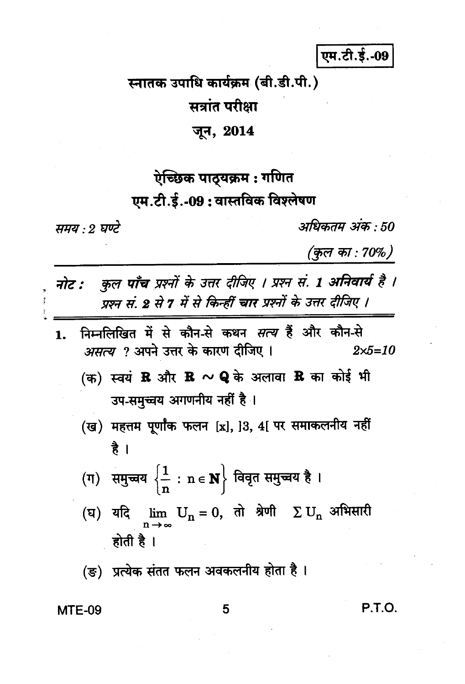एम.टी.ई.-09

## स्नातक उपाधि कार्यक्रम (बी.डी.पी.) सत्रांत परीक्षा

### जून, 2014

### ऐच्छिक पाठ्यक्रम : गणित एम.टी.ई.-09: वास्तविक विश्लेषण

समय : २ घण्टे

अधिकतम् अंक : 50

(कुल का : 70%)

- कुल पाँच प्रश्नों के उत्तर दीजिए । प्रश्न सं. 1 अनिवार्य है । नोट : प्रश्न सं. 2 से 7 में से किन्हीं चार प्रश्नों के उत्तर दीजिए ।
- निम्नलिखित में से कौन-से कथन *सत्य* हैं और कौन-से  $\mathbf{1}$ . *असत्य ?* अपने उत्तर के कारण दीजिए ।  $2 \times 5 = 10$ 
	- (क) स्वयं  ${\bf R}$  और  ${\bf R} \sim {\bf Q}$  के अलावा  ${\bf R}$  का कोई भी उप-समुच्चय अगणनीय नहीं है।
	- (ख) महत्तम पूर्णांक फलन [x], ]3, 4[ पर समाकलनीय नहीं है ।
	- (ग) समुच्चय  $\left\{\frac{1}{n} : n \in \mathbf{N}\right\}$  विवृत समुच्चय है।
	- (घ) यदि  $\lim_{n \to \infty} U_n = 0$ , तो श्रेणी  $\Sigma U_n$  अभिसारी होती है ।
	- (ङ) प्रत्येक संतत फलन अवकलनीय होता है।

#### **MTE-09**

5

**P.T.O.**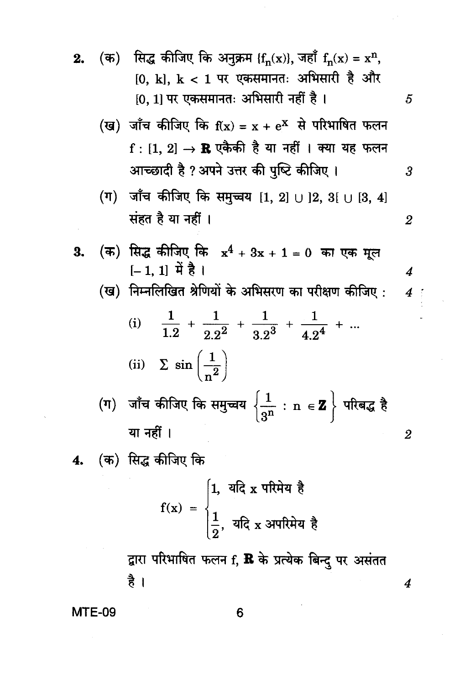- (क) सिद्ध कीजिए कि अनुक्रम { $f_n(x)$ }, जहाँ  $f_n(x) = x^n$ , 2.  $[0, k], k < 1$  पर एकसमानतः अभिसारी है और  $[0, 1]$  पर एकसमानतः अभिसारी नहीं है।
	- (ख) जाँच कीजिए कि  $f(x) = x + e^x$  से परिभाषित फलन  $f:[1, 2] \rightarrow \mathbb{R}$  एकैकी है या नहीं । क्या यह फलन आच्छादी है ? अपने उत्तर की पुष्टि कीजिए ।

5

 $\overline{3}$ 

 $\overline{2}$ 

 $\boldsymbol{4}$ 

 $\overline{2}$ 

 $\boldsymbol{4}$ 

 $4<sup>1</sup>$ 

- (ग) जाँच कीजिए कि समुच्चय [1, 2]  $\cup$  ]2, 3[  $\cup$  [3, 4] संहत है या नहीं ।
- (क) सिद्ध कीजिए कि  $x^4 + 3x + 1 = 0$  का एक मूल 3.  $[-1, 1]$   $\overrightarrow{H}$  है |
	- (ख) निम्नलिखित श्रेणियों के अभिसरण का परीक्षण कीजिए:

(i) 
$$
\frac{1}{1.2} + \frac{1}{2.2^2} + \frac{1}{3.2^3} + \frac{1}{4.2^4} + ...
$$
  
\n(ii)  $\sum \sin \left(\frac{1}{n^2}\right)$   
\n(π)  $\text{and } \sin \left(\frac{1}{2}\right)$   
\n(π)  $\text{and } \sin \left(\frac{1}{2}\right)$ 

या नहीं ।

(क) सिद्ध कीजिए कि 4.

$$
f(x) = \begin{cases} 1, & \text{and } x \text{ when } x \neq 0 \\ \frac{1}{2}, & \text{and } x \text{ and } x = \frac{1}{2} \end{cases}
$$

द्वारा परिभाषित फलन f, R के प्रत्येक बिन्द पर असंतत है ।

**MTE-09** 

6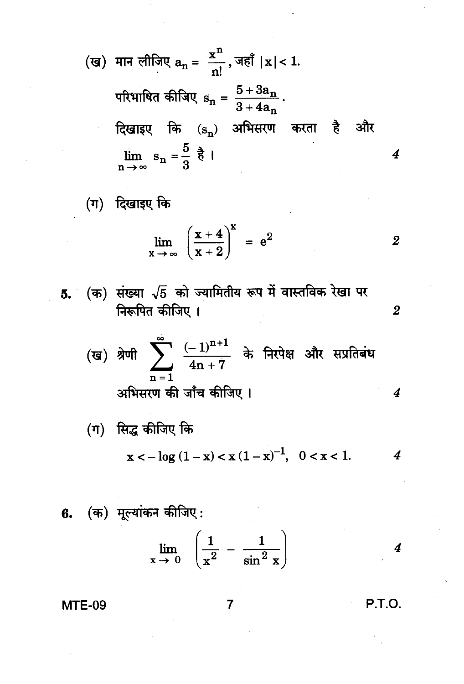(ख) मान लीजिए 
$$
a_n = \frac{x^n}{n!}
$$
, जहाँ  $|x| < 1$ .  
\nपरिभाषित कीजिए  $s_n = \frac{5 + 3a_n}{3 + 4a_n}$ .  
\nदिखाइए क  $(s_n)$  अभिसरण करता है और  
\n $\lim_{n \to \infty} s_n = \frac{5}{3} \frac{1}{5} \frac{1}{n!}$ 

(ग) दिखाइए कि

$$
\lim_{x \to \infty} \left( \frac{x+4}{x+2} \right)^{x} = e^2
$$
 2

(ख) श्रेणी 
$$
\sum_{n=1}^{\infty} \frac{(-1)^{n+1}}{4n+7}
$$
 के निरपेक्ष और सप्रतिबंध  
अभिसरण की जाँच कीजिए ।

$$
x < -\log(1-x) < x(1-x)^{-1}, \quad 0 < x < 1.
$$

6. (क) मूल्यांकन कीजिए :  

$$
\lim_{x \to 0} \left( \frac{1}{x^2} - \frac{1}{\sin^2 x} \right)
$$
 4

P.T.O.

 $\overline{2}$ 

 $\overline{\mathbf{4}}$